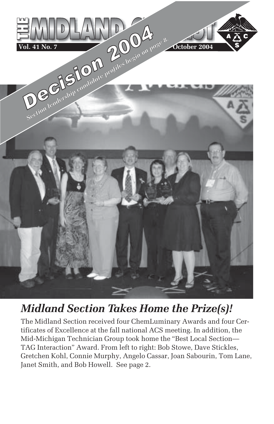

# *Midland Section Takes Home the Prize(s)!*

The Midland Section received four ChemLuminary Awards and four Certificates of Excellence at the fall national ACS meeting. In addition, the Mid-Michigan Technician Group took home the "Best Local Section— TAG Interaction" Award. From left to right: Bob Stowe, Dave Stickles, Gretchen Kohl, Connie Murphy, Angelo Cassar, Joan Sabourin, Tom Lane, Janet Smith, and Bob Howell. See page 2.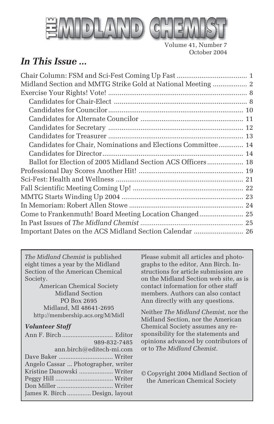

Volume 41, Number 7 October 2004

# *In This Issue ...*

| Midland Section and MMTG Strike Gold at National Meeting  2  |  |
|--------------------------------------------------------------|--|
|                                                              |  |
|                                                              |  |
|                                                              |  |
|                                                              |  |
|                                                              |  |
|                                                              |  |
| Candidates for Chair, Nominations and Elections Committee 14 |  |
|                                                              |  |
|                                                              |  |
|                                                              |  |
|                                                              |  |
|                                                              |  |
|                                                              |  |
|                                                              |  |
| Come to Frankenmuth! Board Meeting Location Changed 25       |  |
|                                                              |  |
| Important Dates on the ACS Midland Section Calendar  26      |  |
|                                                              |  |

*The Midland Chemist* is published eight times a year by the Midland Section of the American Chemical Society.

American Chemical Society Midland Section PO Box 2695 Midland, MI 48641-2695 http://membership.acs.org/M/Midl

#### *Volunteer Staff*

| 989-832-7485                        |  |
|-------------------------------------|--|
| ann.birch@editech-mi.com            |  |
|                                     |  |
| Angelo Cassar  Photographer, writer |  |
| Kristine Danowski  Writer           |  |
|                                     |  |
|                                     |  |
| James R. Birch  Design, layout      |  |

Please submit all articles and photographs to the editor, Ann Birch. Instructions for article submission are on the Midland Section web site, as is contact information for other staff members. Authors can also contact Ann directly with any questions.

Neither *The Midland Chemist*, nor the Midland Section, nor the American Chemical Society assumes any responsibility for the statements and opinions advanced by contributors of or to *The Midland Chemist*.

© Copyright 2004 Midland Section of the American Chemical Society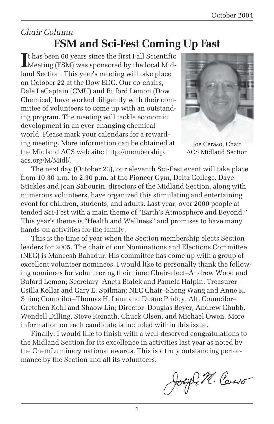# *Chair Column* **FSM and Sci-Fest Coming Up Fast**

If has been 60 years since the first Fall Scientific<br>
Meeting (FSM) was sponsored by the local Midt has been 60 years since the first Fall Scientific land Section. This year's meeting will take place on October 22 at the Dow EDC. Our co-chairs, Dale LeCaptain (CMU) and Buford Lemon (Dow Chemical) have worked diligently with their committee of volunteers to come up with an outstanding program. The meeting will tackle economic development in an ever-changing chemical world. Please mark your calendars for a rewarding meeting. More information can be obtained at the Midland ACS web site: http://membership. acs.org/M/Midl/.



Joe Ceraso, Chair ACS Midland Section

The next day (October 23), our eleventh Sci-Fest event will take place from 10:30 a.m. to 2:30 p.m. at the Pioneer Gym, Delta College. Dave Stickles and Joan Sabourin, directors of the Midland Section, along with numerous volunteers, have organized this stimulating and entertaining event for children, students, and adults. Last year, over 2000 people attended Sci-Fest with a main theme of "Earth's Atmosphere and Beyond." This year's theme is "Health and Wellness" and promises to have many hands-on activities for the family.

This is the time of year when the Section membership elects Section leaders for 2005. The chair of our Nominations and Elections Committee (NEC) is Maneesh Bahadur. His committee has come up with a group of excellent volunteer nominees. I would like to personally thank the following nominees for volunteering their time: Chair-elect–Andrew Wood and Buford Lemon; Secretary–Aneta Bialek and Pamela Halpin; Treasurer– Csilla Kollar and Gary E. Spilman; NEC Chair–Sheng Wang and Anne K. Shim; Councilor–Thomas H. Lane and Duane Priddy; Alt. Councilor– Gretchen Kohl and Shaow Lin; Director–Douglas Beyer, Andrew Chubb, Wendell Dilling, Steve Keinath, Chuck Olsen, and Michael Owen. More information on each candidate is included within this issue.

Finally, I would like to finish with a well-deserved congratulations to the Midland Section for its excellence in activities last year as noted by the ChemLuminary national awards. This is a truly outstanding performance by the Section and all its volunteers.

Joseph M. Carso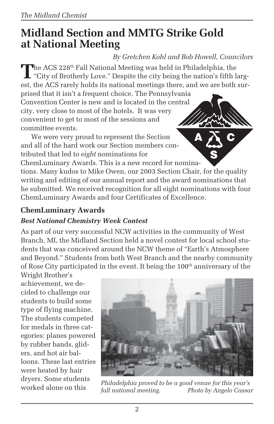# **Midland Section and MMTG Strike Gold at National Meeting**

### *By Gretchen Kohl and Bob Howell, Councilors*

The ACS 228<sup>th</sup> Fall National Meeting was held in Philadelphia, the<br>"City of Brotherly Love." Despite the city being the nation's fifth largest, the ACS rarely holds its national meetings there, and we are both sur-

prised that it isn't a frequent choice. The Pennsylvania Convention Center is new and is located in the central city, very close to most of the hotels. It was very convenient to get to most of the sessions and committee events.

We were very proud to represent the Section and all of the hard work our Section members contributed that led to *eight* nominations for

ChemLuminary Awards. This is a new record for nominations. Many kudos to Mike Owen, our 2003 Section Chair, for the quality writing and editing of our annual report and the award nominations that he submitted. We received recognition for all eight nominations with four ChemLuminary Awards and four Certificates of Excellence.

### **ChemLuminary Awards**

#### *Best National Chemistry Week Contest*

As part of our very successful NCW activities in the community of West Branch, MI, the Midland Section held a novel contest for local school students that was conceived around the NCW theme of "Earth's Atmosphere and Beyond." Students from both West Branch and the nearby community of Rose City participated in the event. It being the  $100<sup>th</sup>$  anniversary of the

Wright Brother's achievement, we decided to challenge our students to build some type of flying machine. The students competed for medals in three categories: planes powered by rubber bands, gliders, and hot air balloons. These last entries were heated by hair dryers. Some students



worked alone on this *Philadelphia proved to be a good venue for this year's fall national meeting. Photo by Angelo Cassar*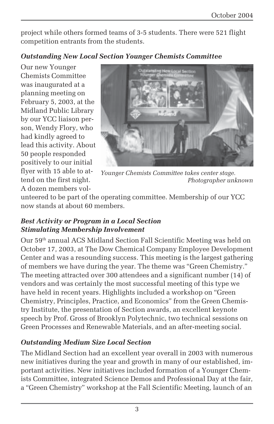project while others formed teams of 3-5 students. There were 521 flight competition entrants from the students.

#### *Outstanding New Local Section Younger Chemists Committee*

Our new Younger Chemists Committee was inaugurated at a planning meeting on February 5, 2003, at the Midland Public Library by our YCC liaison person, Wendy Flory, who had kindly agreed to lead this activity. About 50 people responded positively to our initial flyer with 15 able to attend on the first night. A dozen members vol-



*Younger Chemists Committee takes center stage. Photographer unknown*

unteered to be part of the operating committee. Membership of our YCC now stands at about 60 members.

#### *Best Activity or Program in a Local Section Stimulating Membership Involvement*

Our 59th annual ACS Midland Section Fall Scientific Meeting was held on October 17, 2003, at The Dow Chemical Company Employee Development Center and was a resounding success. This meeting is the largest gathering of members we have during the year. The theme was "Green Chemistry." The meeting attracted over 300 attendees and a significant number (14) of vendors and was certainly the most successful meeting of this type we have held in recent years. Highlights included a workshop on "Green Chemistry, Principles, Practice, and Economics" from the Green Chemistry Institute, the presentation of Section awards, an excellent keynote speech by Prof. Gross of Brooklyn Polytechnic, two technical sessions on Green Processes and Renewable Materials, and an after-meeting social.

### *Outstanding Medium Size Local Section*

The Midland Section had an excellent year overall in 2003 with numerous new initiatives during the year and growth in many of our established, important activities. New initiatives included formation of a Younger Chemists Committee, integrated Science Demos and Professional Day at the fair, a "Green Chemistry" workshop at the Fall Scientific Meeting, launch of an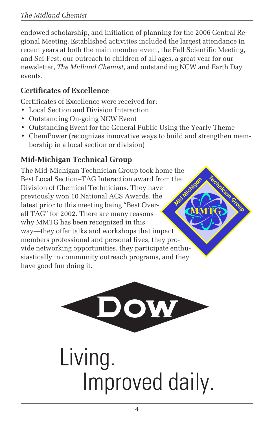endowed scholarship, and initiation of planning for the 2006 Central Regional Meeting. Established activities included the largest attendance in recent years at both the main member event, the Fall Scientific Meeting, and Sci-Fest, our outreach to children of all ages, a great year for our newsletter, *The Midland Chemist*, and outstanding NCW and Earth Day events.

## **Certificates of Excellence**

Certificates of Excellence were received for:

- Local Section and Division Interaction
- Outstanding On-going NCW Event
- Outstanding Event for the General Public Using the Yearly Theme
- ChemPower (recognizes innovative ways to build and strengthen membership in a local section or division)

# **Mid-Michigan Technical Group**

**MMTG Media Strategy Crown Group** The Mid-Michigan Technician Group took home the Best Local Section–TAG Interaction award from the Division of Chemical Technicians. They have previously won 10 National ACS Awards, the latest prior to this meeting being "Best Overall TAG" for 2002. There are many reasons why MMTG has been recognized in this way—they offer talks and workshops that impact members professional and personal lives, they provide networking opportunities, they participate enthusiastically in community outreach programs, and they have good fun doing it.



# Living. Improved daily.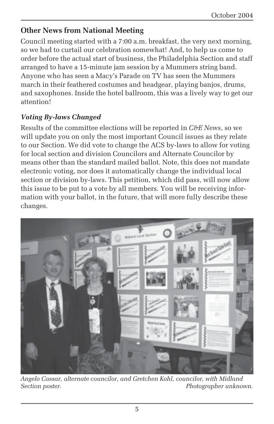### **Other News from National Meeting**

Council meeting started with a 7:00 a.m. breakfast, the very next morning, so we had to curtail our celebration somewhat! And, to help us come to order before the actual start of business, the Philadelphia Section and staff arranged to have a 15-minute jam session by a Mummers string band. Anyone who has seen a Macy's Parade on TV has seen the Mummers march in their feathered costumes and headgear, playing banjos, drums, and saxophones. Inside the hotel ballroom, this was a lively way to get our attention!

#### *Voting By-laws Changed*

Results of the committee elections will be reported in *C&E News*, so we will update you on only the most important Council issues as they relate to our Section. We did vote to change the ACS by-laws to allow for voting for local section and division Councilors and Alternate Councilor by means other than the standard mailed ballot. Note, this does not mandate electronic voting, nor does it automatically change the individual local section or division by-laws. This petition, which did pass, will now allow this issue to be put to a vote by all members. You will be receiving information with your ballot, in the future, that will more fully describe these changes.



*Angelo Cassar, alternate councilor, and Gretchen Kohl, councilor, with Midland Section poster. Photographer unknown.*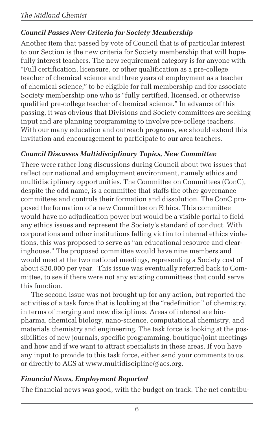### *Council Passes New Criteria for Society Membership*

Another item that passed by vote of Council that is of particular interest to our Section is the new criteria for Society membership that will hopefully interest teachers. The new requirement category is for anyone with "Full certification, licensure, or other qualification as a pre-college teacher of chemical science and three years of employment as a teacher of chemical science," to be eligible for full membership and for associate Society membership one who is "fully certified, licensed, or otherwise qualified pre-college teacher of chemical science." In advance of this passing, it was obvious that Divisions and Society committees are seeking input and are planning programming to involve pre-college teachers. With our many education and outreach programs, we should extend this invitation and encouragement to participate to our area teachers.

#### *Council Discusses Multidisciplinary Topics, New Committee*

There were rather long discussions during Council about two issues that reflect our national and employment environment, namely ethics and multidisciplinary opportunities. The Committee on Committees (ConC), despite the odd name, is a committee that staffs the other governance committees and controls their formation and dissolution. The ConC proposed the formation of a new Committee on Ethics. This committee would have no adjudication power but would be a visible portal to field any ethics issues and represent the Society's standard of conduct. With corporations and other institutions falling victim to internal ethics violations, this was proposed to serve as "an educational resource and clearinghouse." The proposed committee would have nine members and would meet at the two national meetings, representing a Society cost of about \$20,000 per year. This issue was eventually referred back to Committee, to see if there were not any existing committees that could serve this function.

The second issue was not brought up for any action, but reported the activities of a task force that is looking at the "redefinition" of chemistry, in terms of merging and new disciplines. Areas of interest are biopharma, chemical biology, nano-science, computational chemistry, and materials chemistry and engineering. The task force is looking at the possibilities of new journals, specific programming, boutique/joint meetings and how and if we want to attract specialists in these areas. If you have any input to provide to this task force, either send your comments to us, or directly to ACS at www.multidiscipline@acs.org.

#### *Financial News, Employment Reported*

The financial news was good, with the budget on track. The net contribu-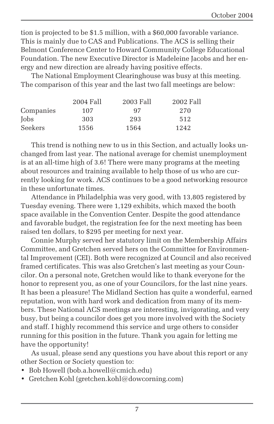tion is projected to be \$1.5 million, with a \$60,000 favorable variance. This is mainly due to CAS and Publications. The ACS is selling their Belmont Conference Center to Howard Community College Educational Foundation. The new Executive Director is Madeleine Jacobs and her energy and new direction are already having positive effects.

The National Employment Clearinghouse was busy at this meeting. The comparison of this year and the last two fall meetings are below:

|           | 2004 Fall | 2003 Fall | 2002 Fall |
|-----------|-----------|-----------|-----------|
| Companies | 107       | 97        | 270       |
| Jobs      | 303       | 293       | 512       |
| Seekers   | 1556      | 1564      | 1242      |

This trend is nothing new to us in this Section, and actually looks unchanged from last year. The national average for chemist unemployment is at an all-time high of 3.6! There were many programs at the meeting about resources and training available to help those of us who are currently looking for work. ACS continues to be a good networking resource in these unfortunate times.

Attendance in Philadelphia was very good, with 13,805 registered by Tuesday evening. There were 1,129 exhibits, which maxed the booth space available in the Convention Center. Despite the good attendance and favorable budget, the registration fee for the next meeting has been raised ten dollars, to \$295 per meeting for next year.

Connie Murphy served her statutory limit on the Membership Affairs Committee, and Gretchen served hers on the Committee for Environmental Improvement (CEI). Both were recognized at Council and also received framed certificates. This was also Gretchen's last meeting as your Councilor. On a personal note, Gretchen would like to thank everyone for the honor to represent you, as one of your Councilors, for the last nine years. It has been a pleasure! The Midland Section has quite a wonderful, earned reputation, won with hard work and dedication from many of its members. These National ACS meetings are interesting, invigorating, and very busy, but being a councilor does get you more involved with the Society and staff. I highly recommend this service and urge others to consider running for this position in the future. Thank you again for letting me have the opportunity!

As usual, please send any questions you have about this report or any other Section or Society question to:

- Bob Howell (bob.a.howell@cmich.edu)
- Gretchen Kohl (gretchen.kohl@dowcorning.com)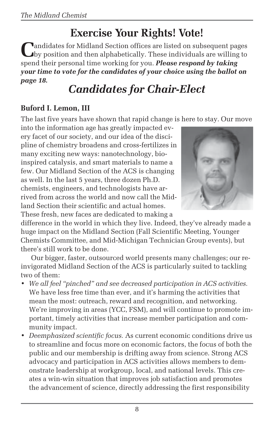# **Exercise Your Rights! Vote!**

**Pandidates for Midland Section offices are listed on subsequent pages** by position and then alphabetically. These individuals are willing to spend their personal time working for you. *Please respond by taking your time to vote for the candidates of your choice using the ballot on page 18.*

# *Candidates for Chair-Elect*

### **Buford I. Lemon, III**

The last five years have shown that rapid change is here to stay. Our move

into the information age has greatly impacted every facet of our society, and our idea of the discipline of chemistry broadens and cross-fertilizes in many exciting new ways: nanotechnology, bioinspired catalysis, and smart materials to name a few. Our Midland Section of the ACS is changing as well. In the last 5 years, three dozen Ph.D. chemists, engineers, and technologists have arrived from across the world and now call the Midland Section their scientific and actual homes. These fresh, new faces are dedicated to making a



difference in the world in which they live. Indeed, they've already made a huge impact on the Midland Section (Fall Scientific Meeting, Younger Chemists Committee, and Mid-Michigan Technician Group events), but there's still work to be done.

Our bigger, faster, outsourced world presents many challenges; our reinvigorated Midland Section of the ACS is particularly suited to tackling two of them:

- *We all feel "pinched" and see decreased participation in ACS activities.* We have less free time than ever, and it's harming the activities that mean the most: outreach, reward and recognition, and networking. We're improving in areas (YCC, FSM), and will continue to promote important, timely activities that increase member participation and community impact.
- *Deemphasized scientific focus.* As current economic conditions drive us to streamline and focus more on economic factors, the focus of both the public and our membership is drifting away from science. Strong ACS advocacy and participation in ACS activities allows members to demonstrate leadership at workgroup, local, and national levels. This creates a win-win situation that improves job satisfaction and promotes the advancement of science, directly addressing the first responsibility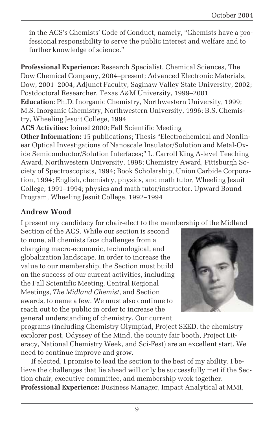in the ACS's Chemists' Code of Conduct, namely, "Chemists have a professional responsibility to serve the public interest and welfare and to further knowledge of science."

**Professional Experience:** Research Specialist, Chemical Sciences, The Dow Chemical Company, 2004–present; Advanced Electronic Materials, Dow, 2001–2004; Adjunct Faculty, Saginaw Valley State University, 2002; Postdoctoral Researcher, Texas A&M University, 1999–2001 **Education**: Ph.D. Inorganic Chemistry, Northwestern University, 1999; M.S. Inorganic Chemistry, Northwestern University, 1996; B.S. Chemistry, Wheeling Jesuit College, 1994

**ACS Activities:** Joined 2000; Fall Scientific Meeting

**Other Information:** 15 publications; Thesis "Electrochemical and Nonlinear Optical Investigations of Nanoscale Insulator/Solution and Metal-Oxide Semiconductor/Solution Interfaces;" L. Carroll King A-level Teaching Award, Northwestern University, 1998; Chemistry Award, Pittsburgh Society of Spectroscopists, 1994; Book Scholarship, Union Carbide Corporation, 1994; English, chemistry, physics, and math tutor, Wheeling Jesuit College, 1991–1994; physics and math tutor/instructor, Upward Bound Program, Wheeling Jesuit College, 1992–1994

#### **Andrew Wood**

I present my candidacy for chair-elect to the membership of the Midland

Section of the ACS. While our section is second to none, all chemists face challenges from a changing macro-economic, technological, and globalization landscape. In order to increase the value to our membership, the Section must build on the success of our current activities, including the Fall Scientific Meeting, Central Regional Meetings, *The Midland Chemist*, and Section awards, to name a few. We must also continue to reach out to the public in order to increase the general understanding of chemistry. Our current



programs (including Chemistry Olympiad, Project SEED, the chemistry explorer post, Odyssey of the Mind, the county fair booth, Project Literacy, National Chemistry Week, and Sci-Fest) are an excellent start. We need to continue improve and grow.

If elected, I promise to lead the section to the best of my ability. I believe the challenges that lie ahead will only be successfully met if the Section chair, executive committee, and membership work together. **Professional Experience:** Business Manager, Impact Analytical at MMI,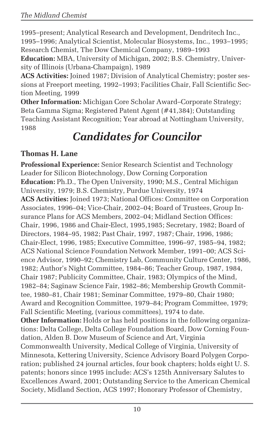1995–present; Analytical Research and Development, Dendritech Inc., 1995–1996; Analytical Scientist, Molecular Biosystems, Inc., 1993–1995; Research Chemist, The Dow Chemical Company, 1989–1993

**Education:** MBA, University of Michigan, 2002; B.S. Chemistry, University of Illinois (Urbana-Champaign), 1989

**ACS Activities:** Joined 1987; Division of Analytical Chemistry; poster sessions at Freeport meeting, 1992–1993; Facilities Chair, Fall Scientific Section Meeting, 1999

**Other Information:** Michigan Core Scholar Award–Corporate Strategy; Beta Gamma Sigma; Registered Patent Agent (#41,384); Outstanding Teaching Assistant Recognition; Year abroad at Nottingham University, 1988

# *Candidates for Councilor*

### **Thomas H. Lane**

**Professional Experience:** Senior Research Scientist and Technology Leader for Silicon Biotechnology, Dow Corning Corporation **Education:** Ph.D., The Open University, 1990; M.S., Central Michigan University, 1979; B.S. Chemistry, Purdue University, 1974 **ACS Activities:** Joined 1973; National Offices: Committee on Corporation Associates, 1996–04; Vice-Chair, 2002–04; Board of Trustees, Group Insurance Plans for ACS Members, 2002–04; Midland Section Offices: Chair, 1996, 1986 and Chair-Elect, 1995,1985; Secretary, 1982; Board of Directors, 1984–95, 1982; Past Chair, 1997, 1987; Chair, 1996, 1986; Chair-Elect, 1996, 1985; Executive Committee, 1996–97, 1985–94, 1982; ACS National Science Foundation Network Member, 1991–00; ACS Science Advisor, 1990–92; Chemistry Lab, Community Culture Center, 1986, 1982; Author's Night Committee, 1984–86; Teacher Group, 1987, 1984, Chair 1987; Publicity Committee, Chair, 1983; Olympics of the Mind, 1982–84; Saginaw Science Fair, 1982–86; Membership Growth Committee, 1980–81, Chair 1981; Seminar Committee, 1979–80, Chair 1980; Award and Recognition Committee, 1979–84; Program Committee, 1979; Fall Scientific Meeting, (various committees), 1974 to date. **Other Information:** Holds or has held positions in the following organizations: Delta College, Delta College Foundation Board, Dow Corning Foundation, Alden B. Dow Museum of Science and Art, Virginia Commonwealth University, Medical College of Virginia, University of Minnesota, Kettering University, Science Advisory Board Polygen Corporation; published 24 journal articles, four book chapters; holds eight U. S. patents; honors since 1995 include: ACS's 125th Anniversary Salutes to Excellences Award, 2001; Outstanding Service to the American Chemical Society, Midland Section, ACS 1997; Honorary Professor of Chemistry,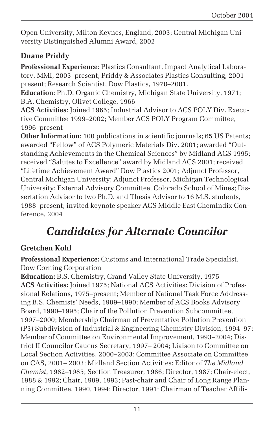Open University, Milton Keynes, England, 2003; Central Michigan University Distinguished Alumni Award, 2002

### **Duane Priddy**

**Professional Experience**: Plastics Consultant, Impact Analytical Laboratory, MMI, 2003–present; Priddy & Associates Plastics Consulting, 2001– present; Research Scientist, Dow Plastics, 1970–2001.

**Education**: Ph.D. Organic Chemistry, Michigan State University, 1971; B.A. Chemistry, Olivet College, 1966

**ACS Activities**: Joined 1965; Industrial Advisor to ACS POLY Div. Executive Committee 1999–2002; Member ACS POLY Program Committee, 1996–present

**Other Information**: 100 publications in scientific journals; 65 US Patents; awarded "Fellow" of ACS Polymeric Materials Div. 2001; awarded "Outstanding Achievements in the Chemical Sciences" by Midland ACS 1995; received "Salutes to Excellence" award by Midland ACS 2001; received "Lifetime Achievement Award" Dow Plastics 2001; Adjunct Professor, Central Michigan University; Adjunct Professor, Michigan Technological University; External Advisory Committee, Colorado School of Mines; Dissertation Advisor to two Ph.D. and Thesis Advisor to 16 M.S. students, 1988–present; invited keynote speaker ACS Middle East ChemIndix Conference, 2004

# *Candidates for Alternate Councilor*

### **Gretchen Kohl**

**Professional Experience:** Customs and International Trade Specialist, Dow Corning Corporation

**Education:** B.S. Chemistry, Grand Valley State University, 1975 **ACS Activities:** Joined 1975; National ACS Activities: Division of Professional Relations, 1975–present; Member of National Task Force Addressing B.S. Chemists' Needs, 1989–1990; Member of ACS Books Advisory Board, 1990–1995; Chair of the Pollution Prevention Subcommittee, 1997–2000; Membership Chairman of Preventative Pollution Prevention (P3) Subdivision of Industrial & Engineering Chemistry Division, 1994–97; Member of Committee on Environmental Improvement, 1993–2004; District II Councilor Caucus Secretary, 1997– 2004; Liaison to Committee on Local Section Activities, 2000–2003; Committee Associate on Committee on CAS, 2001– 2003; Midland Section Activities: Editor of *The Midland Chemist*, 1982–1985; Section Treasurer, 1986; Director, 1987; Chair-elect, 1988 & 1992; Chair, 1989, 1993; Past-chair and Chair of Long Range Planning Committee, 1990, 1994; Director, 1991; Chairman of Teacher Affili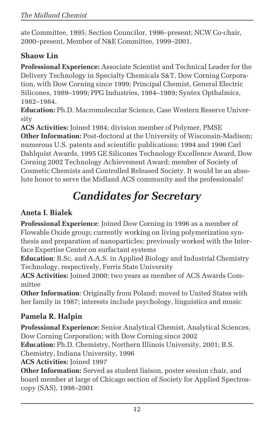ate Committee, 1995; Section Councilor, 1996–present; NCW Co-chair, 2000–present, Member of N&E Committee, 1999–2001.

### **Shaow Lin**

**Professional Experience:** Associate Scientist and Technical Leader for the Delivery Technology in Specialty Chemicals S&T, Dow Corning Corporation, with Dow Corning since 1999; Principal Chemist, General Electric Silicones, 1989–1999; PPG Industries, 1984–1989; Syntex Opthalmics, 1982–1984.

**Education:** Ph.D. Macromolecular Science, Case Western Reserve University

**ACS Activities:** Joined 1984; division member of Polymer, PMSE **Other Information:** Post-doctoral at the University of Wisconsin-Madison; numerous U.S. patents and scientific publications; 1994 and 1996 Carl Dahlquist Awards, 1995 GE Silicones Technology Excellence Award, Dow Corning 2002 Technology Achievement Award; member of Society of Cosmetic Chemists and Controlled Released Society. It would be an absolute honor to serve the Midland ACS community and the professionals!

# *Candidates for Secretary*

### **Aneta I. Bialek**

**Professional Experience**: Joined Dow Corning in 1996 as a member of Flowable Oxide group; currently working on living polymerization synthesis and preparation of nanoparticles; previously worked with the Interface Expertise Center on surfactant systems

**Education**: B.Sc. and A.A.S. in Applied Biology and Industrial Chemistry Technology, respectively, Ferris State University

**ACS Activities:** Joined 2000; two years as member of ACS Awards Committee

**Other Information**: Originally from Poland; moved to United States with her family in 1987; interests include psychology, linguistics and music

# **Pamela R. Halpin**

**Professional Experience:** Senior Analytical Chemist, Analytical Sciences, Dow Corning Corporation; with Dow Corning since 2002

**Education:** Ph.D. Chemistry, Northern Illinois University, 2001; B.S.

Chemistry, Indiana University, 1996

**ACS Activities:** Joined 1997

**Other Information:** Served as student liaison, poster session chair, and board member at large of Chicago section of Society for Applied Spectroscopy (SAS), 1998–2001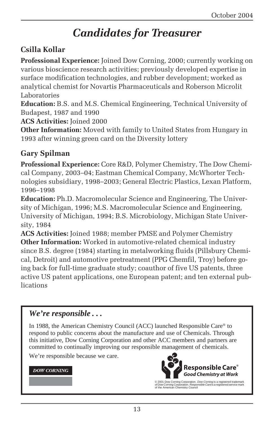# *Candidates for Treasurer*

### **Csilla Kollar**

**Professional Experience:** Joined Dow Corning, 2000; currently working on various bioscience research activities; previously developed expertise in surface modification technologies, and rubber development; worked as analytical chemist for Novartis Pharmaceuticals and Roberson Microlit Laboratories

**Education:** B.S. and M.S. Chemical Engineering, Technical University of Budapest, 1987 and 1990

**ACS Activities:** Joined 2000

**Other Information:** Moved with family to United States from Hungary in 1993 after winning green card on the Diversity lottery

#### **Gary Spilman**

**Professional Experience:** Core R&D, Polymer Chemistry, The Dow Chemical Company, 2003–04; Eastman Chemical Company, McWhorter Technologies subsidiary, 1998–2003; General Electric Plastics, Lexan Platform, 1996–1998

**Education:** Ph.D. Macromolecular Science and Engineering, The University of Michigan, 1996; M.S. Macromolecular Science and Engineering, University of Michigan, 1994; B.S. Microbiology, Michigan State University, 1984

**ACS Activities:** Joined 1988; member PMSE and Polymer Chemistry **Other Information:** Worked in automotive-related chemical industry since B.S. degree (1984) starting in metalworking fluids (Pillsbury Chemical, Detroit) and automotive pretreatment (PPG Chemfil, Troy) before going back for full-time graduate study; coauthor of five US patents, three active US patent applications, one European patent; and ten external publications

#### *We're responsible . . .*

In 1988, the American Chemistry Council (ACC) launched Responsible Care® to respond to public concerns about the manufacture and use of Chemicals. Through this initiative, Dow Corning Corporation and other ACC members and partners are committed to continually improving our responsible management of chemicals.

We're responsible because we care.

#### **DOW CORNING**



© 2001 Dow Corning Corporation. *Dow Corning* is a registered trademark<br>of Dow Corning Corporation. *Responsible Care* is a registered service mark<br>of the American Chemistry Council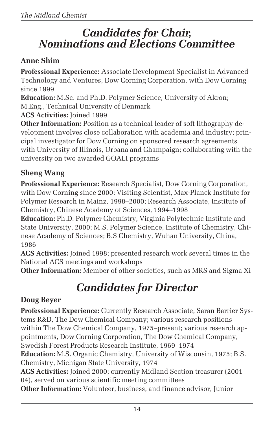# *Candidates for Chair, Nominations and Elections Committee*

### **Anne Shim**

**Professional Experience:** Associate Development Specialist in Advanced Technology and Ventures, Dow Corning Corporation, with Dow Corning since 1999

**Education:** M.Sc. and Ph.D. Polymer Science, University of Akron; M.Eng., Technical University of Denmark

**ACS Activities:** Joined 1999

**Other Information:** Position as a technical leader of soft lithography development involves close collaboration with academia and industry; principal investigator for Dow Corning on sponsored research agreements with University of Illinois, Urbana and Champaign; collaborating with the university on two awarded GOALI programs

# **Sheng Wang**

**Professional Experience:** Research Specialist, Dow Corning Corporation, with Dow Corning since 2000; Visiting Scientist, Max-Planck Institute for Polymer Research in Mainz, 1998–2000; Research Associate, Institute of Chemistry, Chinese Academy of Sciences, 1994–1998

**Education:** Ph.D. Polymer Chemistry, Virginia Polytechnic Institute and State University, 2000; M.S. Polymer Science, Institute of Chemistry, Chinese Academy of Sciences; B.S Chemistry, Wuhan University, China, 1986

**ACS Activities:** Joined 1998; presented research work several times in the National ACS meetings and workshops

**Other Information:** Member of other societies, such as MRS and Sigma Xi

# *Candidates for Director*

### **Doug Beyer**

**Professional Experience:** Currently Research Associate, Saran Barrier Systems R&D, The Dow Chemical Company; various research positions within The Dow Chemical Company, 1975–present; various research appointments, Dow Corning Corporation, The Dow Chemical Company, Swedish Forest Products Research Institute, 1969–1974 **Education:** M.S. Organic Chemistry, University of Wisconsin, 1975; B.S. Chemistry, Michigan State University, 1974 **ACS Activities:** Joined 2000; currently Midland Section treasurer (2001– 04), served on various scientific meeting committees

**Other Information:** Volunteer, business, and finance advisor, Junior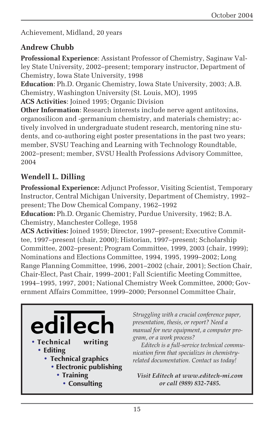Achievement, Midland, 20 years

### **Andrew Chubb**

**Professional Experience**: Assistant Professor of Chemistry, Saginaw Valley State University, 2002–present; temporary instructor, Department of Chemistry, Iowa State University, 1998

**Education**: Ph.D. Organic Chemistry, Iowa State University, 2003; A.B. Chemistry, Washington University (St. Louis, MO), 1995

**ACS Activities**: Joined 1995; Organic Division

**Other Information**: Research interests include nerve agent antitoxins, organosilicon and -germanium chemistry, and materials chemistry; actively involved in undergraduate student research, mentoring nine students, and co-authoring eight poster presentations in the past two years; member, SVSU Teaching and Learning with Technology Roundtable, 2002–present; member, SVSU Health Professions Advisory Committee, 2004

### **Wendell L. Dilling**

**Professional Experience:** Adjunct Professor, Visiting Scientist, Temporary Instructor, Central Michigan University, Department of Chemistry, 1992– present; The Dow Chemical Company, 1962–1992

**Education:** Ph.D. Organic Chemistry, Purdue University, 1962; B.A. Chemistry, Manchester College, 1958

**ACS Activities:** Joined 1959; Director, 1997–present; Executive Committee, 1997–present (chair, 2000); Historian, 1997–present; Scholarship Committee, 2002–present; Program Committee, 1999, 2003 (chair, 1999); Nominations and Elections Committee, 1994, 1995, 1999–2002; Long Range Planning Committee, 1996, 2001–2002 (chair, 2001); Section Chair, Chair-Elect, Past Chair, 1999–2001; Fall Scientific Meeting Committee, 1994–1995, 1997, 2001; National Chemistry Week Committee, 2000; Government Affairs Committee, 1999–2000; Personnel Committee Chair,



*Struggling with a crucial conference paper, presentation, thesis, or report? Need a manual for new equipment, a computer program, or a work process?*

*Editech is a full-service technical communication firm that specializes in chemistryrelated documentation. Contact us today!*

*Visit Editech at www.editech-mi.com or call (989) 832-7485.*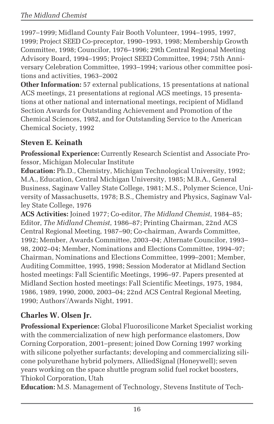1997–1999; Midland County Fair Booth Volunteer, 1994–1995, 1997, 1999; Project SEED Co-preceptor, 1990–1993, 1998; Membership Growth Committee, 1998; Councilor, 1976–1996; 29th Central Regional Meeting Advisory Board, 1994–1995; Project SEED Committee, 1994; 75th Anniversary Celebration Committee, 1993–1994; various other committee positions and activities, 1963–2002

**Other Information:** 57 external publications, 15 presentations at national ACS meetings, 21 presentations at regional ACS meetings, 15 presentations at other national and international meetings, recipient of Midland Section Awards for Outstanding Achievement and Promotion of the Chemical Sciences, 1982, and for Outstanding Service to the American Chemical Society, 1992

### **Steven E. Keinath**

**Professional Experience:** Currently Research Scientist and Associate Professor, Michigan Molecular Institute

**Education:** Ph.D., Chemistry, Michigan Technological University, 1992; M.A., Education, Central Michigan University, 1985; M.B.A., General Business, Saginaw Valley State College, 1981; M.S., Polymer Science, University of Massachusetts, 1978; B.S., Chemistry and Physics, Saginaw Valley State College, 1976

**ACS Activities:** Joined 1977; Co-editor, *The Midland Chemist*, 1984–85; Editor, *The Midland Chemist*, 1986–87; Printing Chairman, 22nd ACS Central Regional Meeting, 1987–90; Co-chairman, Awards Committee, 1992; Member, Awards Committee, 2003–04; Alternate Councilor, 1993– 98, 2002–04; Member, Nominations and Elections Committee, 1994–97; Chairman, Nominations and Elections Committee, 1999–2001; Member, Auditing Committee, 1995, 1998; Session Moderator at Midland Section hosted meetings: Fall Scientific Meetings, 1996–97. Papers presented at Midland Section hosted meetings: Fall Scientific Meetings, 1975, 1984, 1986, 1989, 1990, 2000, 2003–04; 22nd ACS Central Regional Meeting, 1990; Authors'/Awards Night, 1991.

### **Charles W. Olsen Jr.**

**Professional Experience:** Global Fluorosilicone Market Specialist working with the commercialization of new high performance elastomers, Dow Corning Corporation, 2001–present; joined Dow Corning 1997 working with silicone polyether surfactants; developing and commercializing silicone polyurethane hybrid polymers, AlliedSignal (Honeywell); seven years working on the space shuttle program solid fuel rocket boosters, Thiokol Corporation, Utah

**Education:** M.S. Management of Technology, Stevens Institute of Tech-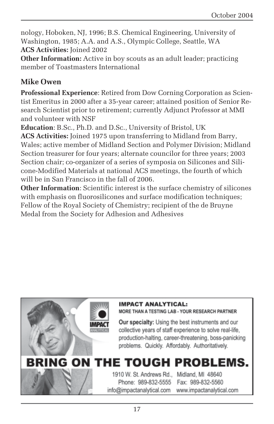nology, Hoboken, NJ, 1996; B.S. Chemical Engineering, University of Washington, 1985; A.A. and A.S., Olympic College, Seattle, WA **ACS Activities:** Joined 2002

**Other Information:** Active in boy scouts as an adult leader; practicing member of Toastmasters International

### **Mike Owen**

**Professional Experience**: Retired from Dow Corning Corporation as Scientist Emeritus in 2000 after a 35-year career; attained position of Senior Research Scientist prior to retirement; currently Adjunct Professor at MMI and volunteer with NSF

**Education**: B.Sc., Ph.D. and D.Sc., University of Bristol, UK **ACS Activities:** Joined 1975 upon transferring to Midland from Barry, Wales; active member of Midland Section and Polymer Division; Midland Section treasurer for four years; alternate councilor for three years; 2003 Section chair; co-organizer of a series of symposia on Silicones and Silicone-Modified Materials at national ACS meetings, the fourth of which will be in San Francisco in the fall of 2006.

**Other Information**: Scientific interest is the surface chemistry of silicones with emphasis on fluorosilicones and surface modification techniques; Fellow of the Royal Society of Chemistry; recipient of the de Bruyne Medal from the Society for Adhesion and Adhesives

#### **IMPACT ANALYTICAL:**

MORE THAN A TESTING LAB - YOUR RESEARCH PARTNER

Our specialty: Using the best instruments and our collective years of staff experience to solve real-life. production-halting, career-threatening, boss-panicking problems. Quickly. Affordably. Authoritatively.

# BRING ON THE TOUGH PROBLEMS.

1910 W. St. Andrews Rd., Midland, MI 48640 Phone: 989-832-5555 Fax: 989-832-5560 info@impactanalytical.com www.impactanalytical.com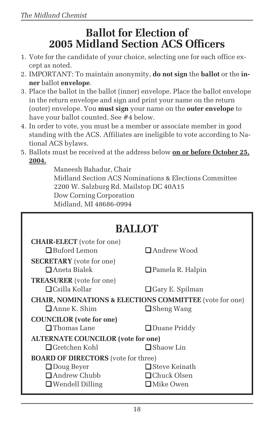# **Ballot for Election of 2005 Midland Section ACS Officers**

- 1. Vote for the candidate of your choice, selecting one for each office except as noted.
- 2. IMPORTANT: To maintain anonymity, **do not sign** the **ballot** or the **inner** ballot **envelope**.
- 3. Place the ballot in the ballot (inner) envelope. Place the ballot envelope in the return envelope and sign and print your name on the return (outer) envelope. You **must sign** your name on the **outer envelope** to have your ballot counted. See #4 below.
- 4. In order to vote, you must be a member or associate member in good standing with the ACS. Affiliates are ineligible to vote according to National ACS bylaws.
- 5. Ballots must be received at the address below **on or before October 25, 2004.**

Maneesh Bahadur, Chair Midland Section ACS Nominations & Elections Committee 2200 W. Salzburg Rd. Mailstop DC 40A15 Dow Corning Corporation Midland, MI 48686-0994

| <b>BALLOT</b>                                                                                             |                                                                |  |  |
|-----------------------------------------------------------------------------------------------------------|----------------------------------------------------------------|--|--|
| <b>CHAIR-ELECT</b> (vote for one)<br><b>□</b> Buford Lemon                                                | <b>□</b> Andrew Wood                                           |  |  |
| <b>SECRETARY</b> (vote for one)<br>$\Box$ Aneta Bialek                                                    | $\Box$ Pamela R. Halpin                                        |  |  |
| <b>TREASURER</b> (vote for one)<br>$\Box$ Csilla Kollar                                                   | $\Box$ Gary E. Spilman                                         |  |  |
| <b>CHAIR, NOMINATIONS &amp; ELECTIONS COMMITTEE</b> (vote for one)<br>$\Box$ Anne K. Shim                 | $\Box$ Sheng Wang                                              |  |  |
| <b>COUNCILOR</b> (vote for one)<br>$\Box$ Thomas Lane                                                     | $\Box$ Duane Priddy                                            |  |  |
| <b>ALTERNATE COUNCILOR</b> (vote for one)<br>$\Box$ Gretchen Kohl<br>$\Box$ Shaow Lin                     |                                                                |  |  |
| <b>BOARD OF DIRECTORS</b> (vote for three)<br>$\Box$ Doug Beyer<br>Andrew Chubb<br>$\Box$ Wendell Dilling | $\Box$ Steve Keinath<br>$\Box$ Chuck Olsen<br>$\Box$ Mike Owen |  |  |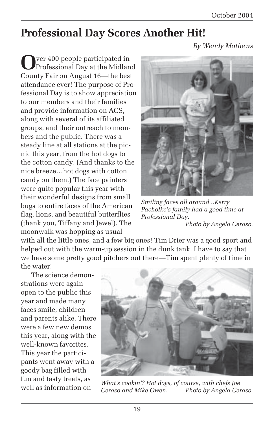# **Professional Day Scores Another Hit!**

*By Wendy Mathews*

**O**ver 400 people participated in Professional Day at the Midland County Fair on August 16—the best attendance ever! The purpose of Professional Day is to show appreciation to our members and their families and provide information on ACS, along with several of its affiliated groups, and their outreach to members and the public. There was a steady line at all stations at the picnic this year, from the hot dogs to the cotton candy. (And thanks to the nice breeze…hot dogs with cotton candy on them.) The face painters were quite popular this year with their wonderful designs from small bugs to entire faces of the American flag, lions, and beautiful butterflies (thank you, Tiffany and Jewel). The moonwalk was hopping as usual



*Smiling faces all around...Kerry Pacholke's family had a good time at Professional Day. Photo by Angela Ceraso.*

with all the little ones, and a few big ones! Tim Drier was a good sport and helped out with the warm-up session in the dunk tank. I have to say that we have some pretty good pitchers out there—Tim spent plenty of time in the water!

The science demonstrations were again open to the public this year and made many faces smile, children and parents alike. There were a few new demos this year, along with the well-known favorites. This year the participants went away with a goody bag filled with fun and tasty treats, as well as information on



*What's cookin'? Hot dogs, of course, with chefs Joe Ceraso and Mike Owen. Photo by Angela Ceraso.*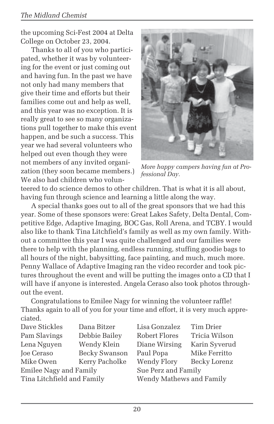the upcoming Sci-Fest 2004 at Delta College on October 23, 2004.

Thanks to all of you who participated, whether it was by volunteering for the event or just coming out and having fun. In the past we have not only had many members that give their time and efforts but their families come out and help as well, and this year was no exception. It is really great to see so many organizations pull together to make this event happen, and be such a success. This year we had several volunteers who helped out even though they were not members of any invited organization (they soon became members.) We also had children who volun-



*More happy campers having fun at Professional Day.*

teered to do science demos to other children. That is what it is all about, having fun through science and learning a little along the way.

A special thanks goes out to all of the great sponsors that we had this year. Some of these sponsors were: Great Lakes Safety, Delta Dental, Competitive Edge, Adaptive Imaging, BOC Gas, Roll Arena, and TCBY. I would also like to thank Tina Litchfield's family as well as my own family. Without a committee this year I was quite challenged and our families were there to help with the planning, endless running, stuffing goodie bags to all hours of the night, babysitting, face painting, and much, much more. Penny Wallace of Adaptive Imaging ran the video recorder and took pictures throughout the event and will be putting the images onto a CD that I will have if anyone is interested. Angela Ceraso also took photos throughout the event.

Congratulations to Emilee Nagy for winning the volunteer raffle! Thanks again to all of you for your time and effort, it is very much appreciated.

| Dana Bitzer                   | Lisa Gonzalez | Tim Drier                |  |
|-------------------------------|---------------|--------------------------|--|
| Debbie Bailey                 | Robert Flores | Tricia Wilson            |  |
| Wendy Klein                   | Diane Wirsing | Karin Syverud            |  |
| Becky Swanson                 |               | Mike Ferritto            |  |
| Kerry Pacholke                | Wendy Flory   | Becky Lorenz             |  |
| <b>Emilee Nagy and Family</b> |               | Sue Perz and Family      |  |
| Tina Litchfield and Family    |               | Wendy Mathews and Family |  |
|                               |               | Paul Popa                |  |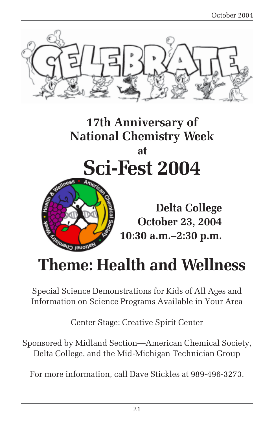

**17th Anniversary of National Chemistry Week at Sci-Fest 2004**



**Delta College October 23, 2004 10:30 a.m.–2:30 p.m.**

# **Theme: Health and Wellness**

Special Science Demonstrations for Kids of All Ages and Information on Science Programs Available in Your Area

Center Stage: Creative Spirit Center

Sponsored by Midland Section—American Chemical Society, Delta College, and the Mid-Michigan Technician Group

For more information, call Dave Stickles at 989-496-3273.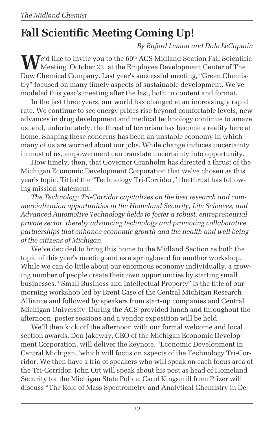# **Fall Scientific Meeting Coming Up!**

*By Buford Lemon and Dale LeCaptain*

 $\mathbf{W}_{\text{Mott}}^{\text{e'd like to invite you to the 60th}$  ACS Midland Section Fall Scientific Meeting, October 22, at the Employee Development Center of The Dow Chemical Company. Last year's successful meeting, "Green Chemistry" focused on many timely aspects of sustainable development. We've modeled this year's meeting after the last, both in content and format.

In the last three years, our world has changed at an increasingly rapid rate. We continue to see energy prices rise beyond comfortable levels, new advances in drug development and medical technology continue to amaze us, and, unfortunately, the threat of terrorism has become a reality here at home. Shaping these concerns has been an unstable economy in which many of us are worried about our jobs. While change induces uncertainty in most of us, empowerment can translate uncertainty into opportunity.

How timely, then, that Governor Granholm has directed a thrust of the Michigan Economic Development Corporation that we've chosen as this year's topic. Titled the "Technology Tri-Corridor," the thrust has following mission statement.

*The Technology Tri-Corridor capitalizes on the best research and commercialization opportunities in the Homeland Security, Life Sciences, and Advanced Automotive Technology fields to foster a robust, entrepreneurial private sector, thereby advancing technology and promoting collaborative partnerships that enhance economic growth and the health and well being of the citizens of Michigan.*

We've decided to bring this home to the Midland Section as both the topic of this year's meeting and as a springboard for another workshop. While we can do little about our enormous economy individually, a growing number of people create their own opportunities by starting small businesses. "Small Business and Intellectual Property" is the title of our morning workshop led by Brent Case of the Central Michigan Research Alliance and followed by speakers from start-up companies and Central Michigan University. During the ACS-provided lunch and throughout the afternoon, poster sessions and a vendor exposition will be held.

We'll then kick off the afternoon with our formal welcome and local section awards. Don Jakeway, CEO of the Michigan Economic Development Corporation, will deliver the keynote, "Economic Development in Central Michigan,"which will focus on aspects of the Technology Tri-Corridor. We then have a trio of speakers who will speak on each focus area of the Tri-Corridor. John Ort will speak about his post as head of Homeland Security for the Michigan State Police. Carol Kingsmill from Pfizer will discuss "The Role of Mass Spectrometry and Analytical Chemistry in De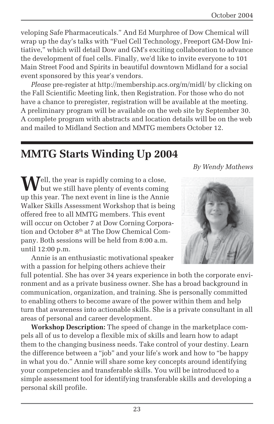veloping Safe Pharmaceuticals." And Ed Murphree of Dow Chemical will wrap up the day's talks with "Fuel Cell Technology, Freeport GM-Dow Initiative," which will detail Dow and GM's exciting collaboration to advance the development of fuel cells. Finally, we'd like to invite everyone to 101 Main Street Food and Spirits in beautiful downtown Midland for a social event sponsored by this year's vendors.

*Please* pre-register at http://membership.acs.org/m/midl/ by clicking on the Fall Scientific Meeting link, then Registration. For those who do not have a chance to preregister, registration will be available at the meeting. A preliminary program will be available on the web site by September 30. A complete program with abstracts and location details will be on the web and mailed to Midland Section and MMTG members October 12.

# **MMTG Starts Winding Up 2004**

*By Wendy Mathews*

Well, the year is rapidly coming to a close,<br>but we still have plenty of events coming up this year. The next event in line is the Annie Walker Skills Assessment Workshop that is being offered free to all MMTG members. This event will occur on October 7 at Dow Corning Corporation and October 8<sup>th</sup> at The Dow Chemical Company. Both sessions will be held from 8:00 a.m. until 12:00 p.m.

Annie is an enthusiastic motivational speaker with a passion for helping others achieve their

full potential. She has over 34 years experience in both the corporate environment and as a private business owner. She has a broad background in communication, organization, and training. She is personally committed to enabling others to become aware of the power within them and help turn that awareness into actionable skills. She is a private consultant in all areas of personal and career development.

**Workshop Description:** The speed of change in the marketplace compels all of us to develop a flexible mix of skills and learn how to adapt them to the changing business needs. Take control of your destiny. Learn the difference between a "job" and your life's work and how to "be happy in what you do." Annie will share some key concepts around identifying your competencies and transferable skills. You will be introduced to a simple assessment tool for identifying transferable skills and developing a personal skill profile.

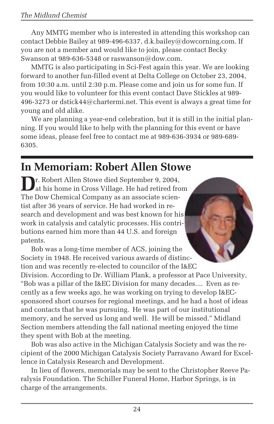Any MMTG member who is interested in attending this workshop can contact Debbie Bailey at 989-496-6337, d.k.bailey@dowcorning.com. If you are not a member and would like to join, please contact Becky Swanson at 989-636-5348 or raswanson@dow.com.

MMTG is also participating in Sci-Fest again this year. We are looking forward to another fun-filled event at Delta College on October 23, 2004, from 10:30 a.m. until 2:30 p.m. Please come and join us for some fun. If you would like to volunteer for this event contact Dave Stickles at 989- 496-3273 or dstick44@chartermi.net. This event is always a great time for young and old alike.

We are planning a year-end celebration, but it is still in the initial planning. If you would like to help with the planning for this event or have some ideas, please feel free to contact me at 989-636-3934 or 989-689- 6305.

# **In Memoriam: Robert Allen Stowe**

**D**r. Robert Allen Stowe died September 9, 2004, at his home in Cross Village. He had retired from The Dow Chemical Company as an associate scientist after 36 years of service. He had worked in research and development and was best known for his work in catalysis and catalytic processes. His contributions earned him more than 44 U.S. and foreign patents.

they spent with Bob at the meeting.

Bob was a long-time member of ACS, joining the Society in 1948. He received various awards of distinction and was recently re-elected to councilor of the I&EC Division. According to Dr. William Plank, a professor at Pace University, "Bob was a pillar of the I&EC Division for many decades.... Even as recently as a few weeks ago, he was working on trying to develop I&ECsponsored short courses for regional meetings, and he had a host of ideas and contacts that he was pursuing. He was part of our institutional memory, and he served us long and well. He will be missed." Midland Section members attending the fall national meeting enjoyed the time

Bob was also active in the Michigan Catalysis Society and was the recipient of the 2000 Michigan Catalysis Society Parravano Award for Excellence in Catalysis Research and Development.

In lieu of flowers, memorials may be sent to the Christopher Reeve Paralysis Foundation. The Schiller Funeral Home, Harbor Springs, is in charge of the arrangements.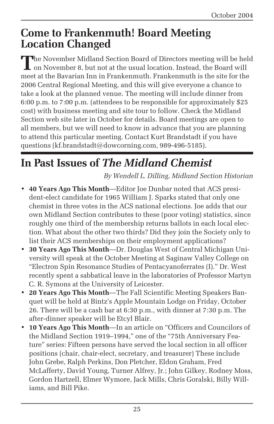# **Come to Frankenmuth! Board Meeting Location Changed**

The November Midland Section Board of Directors meeting will be held  $\mathsf L$  on November 8, but not at the usual location. Instead, the Board will meet at the Bavarian Inn in Frankenmuth. Frankenmuth is the site for the 2006 Central Regional Meeting, and this will give everyone a chance to take a look at the planned venue. The meeting will include dinner from 6:00 p.m. to 7:00 p.m. (attendees to be responsible for approximately \$25 cost) with business meeting and site tour to follow. Check the Midland Section web site later in October for details. Board meetings are open to all members, but we will need to know in advance that you are planning to attend this particular meeting. Contact Kurt Brandstadt if you have questions (kf.brandstadt@dowcorning.com, 989-496-5185).

# **In Past Issues of** *The Midland Chemist*

*By Wendell L. Dilling, Midland Section Historian*

- **40 Years Ago This Month**—Editor Joe Dunbar noted that ACS president-elect candidate for 1965 William J. Sparks stated that only one chemist in three votes in the ACS national elections. Joe adds that our own Midland Section contributes to these (poor voting) statistics, since roughly one third of the membership returns ballots in each local election. What about the other two thirds? Did they join the Society only to list their ACS memberships on their employment applications?
- **30 Years Ago This Month**—Dr. Douglas West of Central Michigan University will speak at the October Meeting at Saginaw Valley College on "Electron Spin Resonance Studies of Pentacyanoferrates (I)." Dr. West recently spent a sabbatical leave in the laboratories of Professor Martyn C. R. Symons at the University of Leicester.
- **20 Years Ago This Month**—The Fall Scientific Meeting Speakers Banquet will be held at Bintz's Apple Mountain Lodge on Friday, October 26. There will be a cash bar at 6:30 p.m., with dinner at 7:30 p.m. The after-dinner speaker will be Etcyl Blair.
- **10 Years Ago This Month**—In an article on "Officers and Councilors of the Midland Section 1919–1994," one of the "75th Anniversary Feature" series: Fifteen persons have served the local section in all officer positions (chair, chair-elect, secretary, and treasurer) These include John Grebe, Ralph Perkins, Don Pletcher, Eldon Graham, Fred McLafferty, David Young, Turner Alfrey, Jr.; John Gilkey, Rodney Moss, Gordon Hartzell, Elmer Wymore, Jack Mills, Chris Goralski, Billy Williams, and Bill Pike.